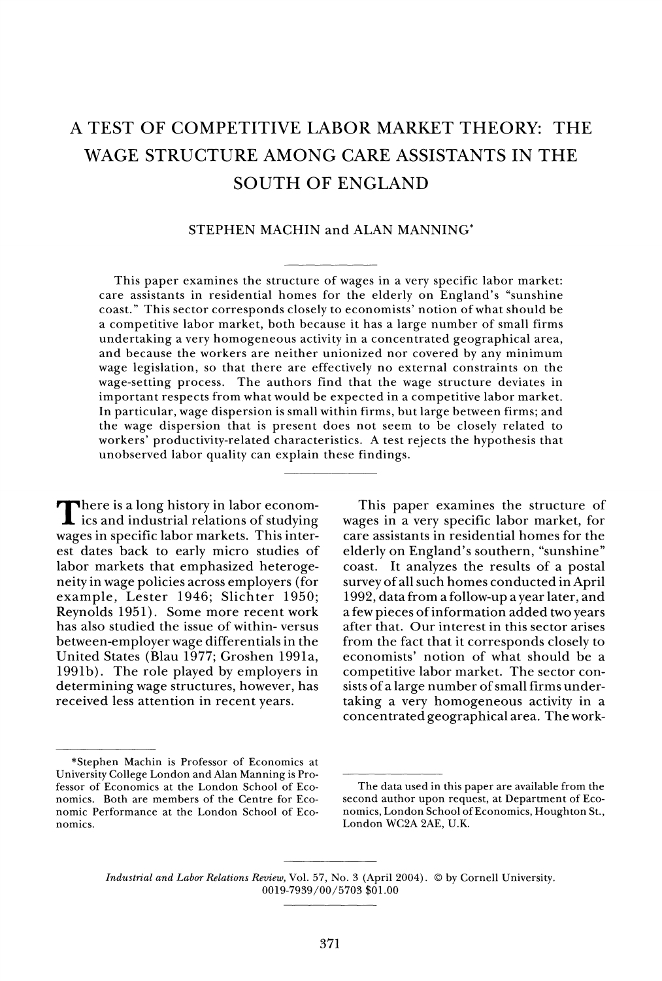# **A TEST OF COMPETITIVE LABOR MARKET THEORY: THE WAGE STRUCTURE AMONG CARE ASSISTANTS IN THE SOUTH OF ENGLAND**

## **STEPHEN MACHIN and ALAN MANNING\***

**This paper examines the structure of wages in a very specific labor market: care assistants in residential homes for the elderly on England's "sunshine coast." This sector corresponds closely to economists' notion of what should be a competitive labor market, both because it has a large number of small firms undertaking a very homogeneous activity in a concentrated geographical area, and because the workers are neither unionized nor covered by any minimum wage legislation, so that there are effectively no external constraints on the wage-setting process. The authors find that the wage structure deviates in important respects from what would be expected in a competitive labor market. In particular, wage dispersion is small within firms, but large between firms; and the wage dispersion that is present does not seem to be closely related to workers' productivity-related characteristics. A test rejects the hypothesis that unobserved labor quality can explain these findings.** 

**There is a long history in labor econom-ics and industrial relations of studying wages in specific labor markets. This interest dates back to early micro studies of labor markets that emphasized heterogeneity in wage policies across employers (for example, Lester 1946; Slichter 1950; Reynolds 1951). Some more recent work has also studied the issue of within- versus between-employer wage differentials in the United States (Blau 1977; Groshen 1991a, 1991b). The role played by employers in determining wage structures, however, has received less attention in recent years.** 

**This paper examines the structure of wages in a very specific labor market, for care assistants in residential homes for the elderly on England's southern, "sunshine" coast. It analyzes the results of a postal survey of all such homes conducted in April 1992, data from a follow-up a year later, and a few pieces of information added two years after that. Our interest in this sector arises from the fact that it corresponds closely to economists' notion of what should be a competitive labor market. The sector consists of a large number of small firms undertaking a very homogeneous activity in a concentrated geographical area. The work-** 

**Industrial and Labor Relations Review, Vol. 57, No. 3 (April 2004). @ by Cornell University. 0019-7939/00/5703 \$01.00** 

**<sup>\*</sup>Stephen Machin is Professor of Economics at University College London and Alan Manning is Professor of Economics at the London School of Economics. Both are members of the Centre for Economic Performance at the London School of Economics.** 

**The data used in this paper are available from the second author upon request, at Department of Economics, London School of Economics, Houghton St., London WC2A 2AE, U.K.**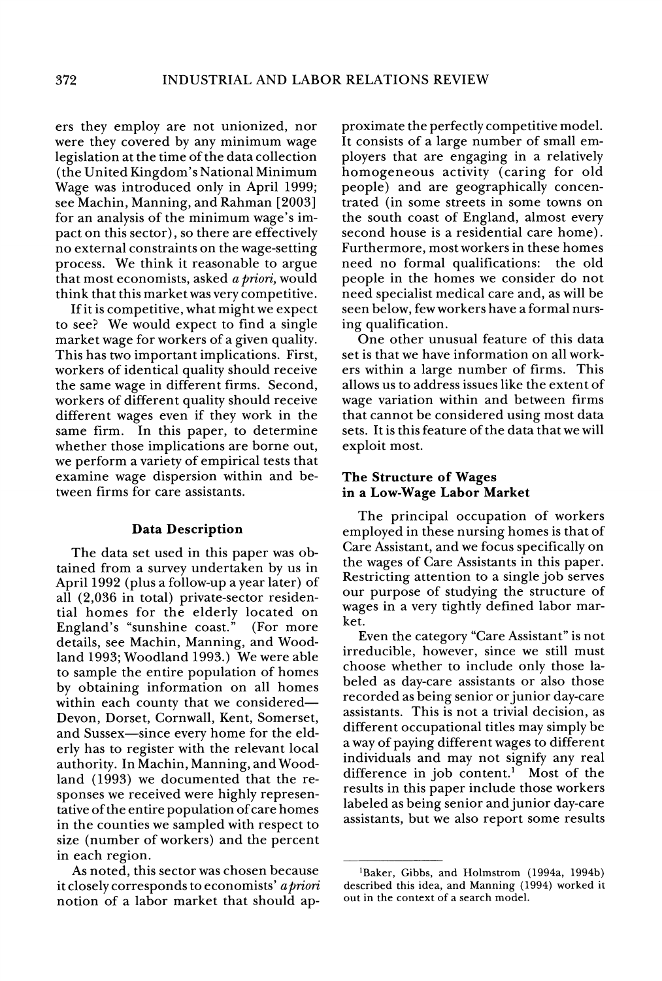**ers they employ are not unionized, nor were they covered by any minimum wage legislation at the time of the data collection (the United Kingdom's National Minimum Wage was introduced only in April 1999; see Machin, Manning, and Rahman [2003] for an analysis of the minimum wage's impact on this sector), so there are effectively no external constraints on the wage-setting process. We think it reasonable to argue that most economists, asked a priori, would think that this market was very competitive.** 

**If it is competitive, what might we expect to see? We would expect to find a single market wage for workers of a given quality. This has two important implications. First, workers of identical quality should receive the same wage in different firms. Second, workers of different quality should receive different wages even if they work in the same firm. In this paper, to determine whether those implications are borne out, we perform a variety of empirical tests that examine wage dispersion within and between firms for care assistants.** 

## **Data Description**

**The data set used in this paper was obtained from a survey undertaken by us in April 1992 (plus a follow-up a year later) of all (2,036 in total) private-sector residential homes for the elderly located on**  England's "sunshine coast." **details, see Machin, Manning, and Woodland 1993; Woodland 1993.) We were able to sample the entire population of homes by obtaining information on all homes within each county that we considered-Devon, Dorset, Cornwall, Kent, Somerset, and Sussex-since every home for the elderly has to register with the relevant local authority. In Machin, Manning, and Woodland (1993) we documented that the responses we received were highly representative of the entire population of care homes in the counties we sampled with respect to size (number of workers) and the percent in each region.** 

**As noted, this sector was chosen because it closely corresponds to economists' apriori notion of a labor market that should ap-** **proximate the perfectly competitive model. It consists of a large number of small employers that are engaging in a relatively homogeneous activity (caring for old people) and are geographically concentrated (in some streets in some towns on the south coast of England, almost every second house is a residential care home). Furthermore, most workers in these homes**  need no formal qualifications: **people in the homes we consider do not need specialist medical care and, as will be seen below, few workers have a formal nursing qualification.** 

**One other unusual feature of this data set is that we have information on all workers within a large number of firms. This allows us to address issues like the extent of wage variation within and between firms that cannot be considered using most data sets. It is this feature of the data that we will exploit most.** 

# **The Structure of Wages in a Low-Wage Labor Market**

**The principal occupation of workers employed in these nursing homes is that of Care Assistant, and we focus specifically on the wages of Care Assistants in this paper. Restricting attention to a single job serves our purpose of studying the structure of wages in a very tightly defined labor market.** 

**Even the category "Care Assistant" is not irreducible, however, since we still must choose whether to include only those labeled as day-care assistants or also those recorded as being senior orjunior day-care assistants. This is not a trivial decision, as different occupational titles may simply be a way of paying different wages to different individuals and may not signify any real difference in job content.' Most of the results in this paper include those workers labeled as being senior and junior day-care assistants, but we also report some results** 

**<sup>1</sup>Baker, Gibbs, and Holmstrom (1994a, 1994b) described this idea, and Manning (1994) worked it out in the context of a search model.**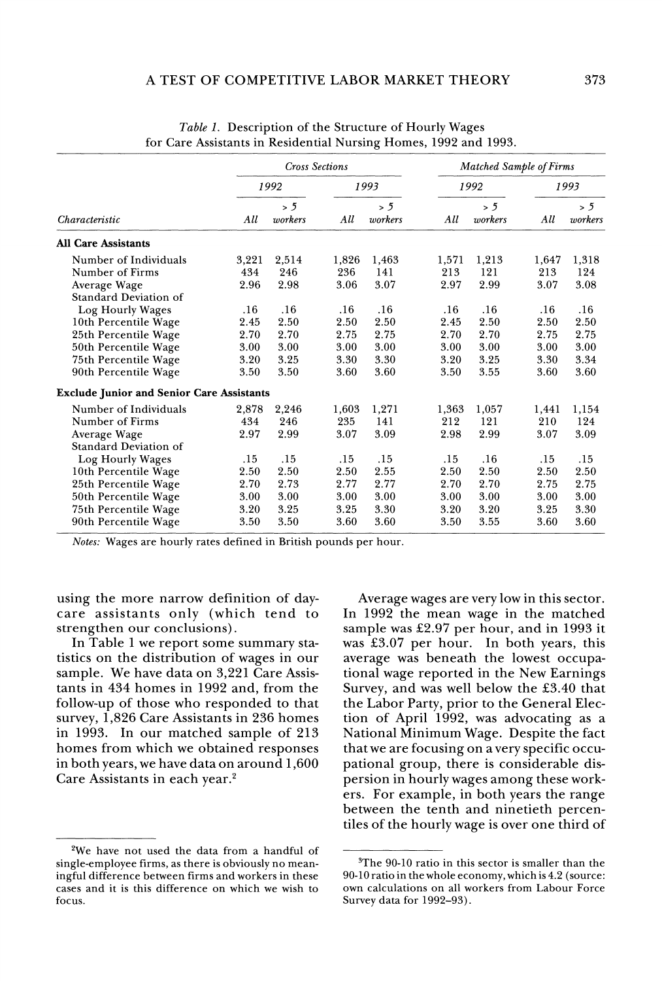|                                                  |         | <b>Cross Sections</b> |       |                | Matched Sample of Firms |                |       |                |
|--------------------------------------------------|---------|-----------------------|-------|----------------|-------------------------|----------------|-------|----------------|
|                                                  |         | 1992                  |       | 1993           |                         | 1992           |       | 1993           |
| Characteristic                                   | All     | > 5<br>workers        | All   | > 5<br>workers | All                     | > 5<br>workers | All   | > 5<br>workers |
| <b>All Care Assistants</b>                       |         |                       |       |                |                         |                |       |                |
| Number of Individuals                            | 3,221   | 2,514                 | 1,826 | 1,463          | 1,571                   | 1,213          | 1,647 | 1,318          |
| Number of Firms                                  | 434     | 246                   | 236   | 141            | 213                     | 121            | 213   | 124            |
| Average Wage                                     | 2.96    | 2.98                  | 3.06  | 3.07           | 2.97                    | 2.99           | 3.07  | 3.08           |
| Standard Deviation of                            |         |                       |       |                |                         |                |       |                |
| Log Hourly Wages                                 | $.16\,$ | .16                   | .16   | .16            | .16                     | .16            | .16   | .16            |
| 10th Percentile Wage                             | 2.45    | 2.50                  | 2.50  | 2.50           | 2.45                    | 2.50           | 2.50  | 2.50           |
| 25th Percentile Wage                             | 2.70    | 2.70                  | 2.75  | 2.75           | 2.70                    | 2.70           | 2.75  | 2.75           |
| 50th Percentile Wage                             | 3.00    | 3.00                  | 3.00  | 3.00           | 3.00                    | 3.00           | 3.00  | 3.00           |
| 75th Percentile Wage                             | 3.20    | 3.25                  | 3.30  | 3.30           | 3.20                    | 3.25           | 3.30  | 3.34           |
| 90th Percentile Wage                             | 3.50    | 3.50                  | 3.60  | 3.60           | 3.50                    | 3.55           | 3.60  | 3.60           |
| <b>Exclude Junior and Senior Care Assistants</b> |         |                       |       |                |                         |                |       |                |
| Number of Individuals                            | 2,878   | 2,246                 | 1,603 | 1,271          | 1,363                   | 1,057          | 1,441 | 1,154          |
| Number of Firms                                  | 434     | 246                   | 235   | 141            | 212                     | 121            | 210   | 124            |
| Average Wage                                     | 2.97    | 2.99                  | 3.07  | 3.09           | 2.98                    | 2.99           | 3.07  | 3.09           |
| <b>Standard Deviation of</b>                     |         |                       |       |                |                         |                |       |                |
| Log Hourly Wages                                 | .15     | .15                   | .15   | .15            | .15                     | .16            | .15   | .15            |
| 10th Percentile Wage                             | 2.50    | 2.50                  | 2.50  | 2.55           | 2.50                    | 2.50           | 2.50  | 2.50           |
| 25th Percentile Wage                             | 2.70    | 2.73                  | 2.77  | 2.77           | 2.70                    | 2.70           | 2.75  | 2.75           |
| 50th Percentile Wage                             | 3.00    | 3.00                  | 3.00  | 3.00           | 3.00                    | 3.00           | 3.00  | 3.00           |
| 75th Percentile Wage                             | 3.20    | 3.25                  | 3.25  | 3.30           | 3.20                    | 3.20           | 3.25  | 3.30           |
| 90th Percentile Wage                             | 3.50    | 3.50                  | 3.60  | 3.60           | 3.50                    | 3.55           | 3.60  | 3.60           |

**Table 1. Description of the Structure of Hourly Wages for Care Assistants in Residential Nursing Homes, 1992 and 1993.** 

**Notes: Wages are hourly rates defined in British pounds per hour.** 

**using the more narrow definition of daycare assistants only (which tend to strengthen our conclusions).** 

**In Table 1 we report some summary statistics on the distribution of wages in our sample. We have data on 3,221 Care Assistants in 434 homes in 1992 and, from the follow-up of those who responded to that survey, 1,826 Care Assistants in 236 homes in 1993. In our matched sample of 213 homes from which we obtained responses in both years, we have data on around 1,600 Care Assistants in each year.2** 

**2We have not used the data from a handful of single-employee firms, as there is obviously no meaningful difference between firms and workers in these cases and it is this difference on which we wish to focus.** 

**Average wages are very low in this sector. In 1992 the mean wage in the matched**  sample was £2.97 per hour, and in 1993 it was £3.07 per hour. In both years, this **average was beneath the lowest occupational wage reported in the New Earnings**  Survey, and was well below the £3.40 that **the Labor Party, prior to the General Election of April 1992, was advocating as a National Minimum Wage. Despite the fact that we are focusing on a very specific occupational group, there is considerable dispersion in hourly wages among these workers. For example, in both years the range between the tenth and ninetieth percentiles of the hourly wage is over one third of** 

**<sup>3</sup>The 90-10 ratio in this sector is smaller than the 90-10 ratio in the whole economy, which is 4.2 (source: own calculations on all workers from Labour Force Survey data for 1992-93).**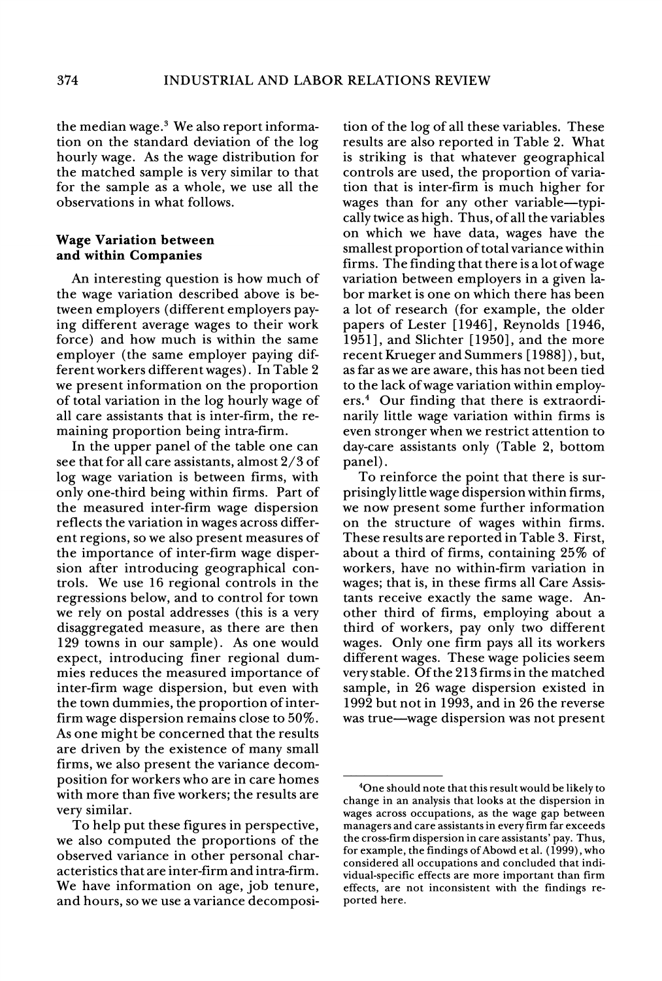**the median wage.3 We also report information on the standard deviation of the log hourly wage. As the wage distribution for the matched sample is very similar to that for the sample as a whole, we use all the observations in what follows.** 

## **Wage Variation between and within Companies**

**An interesting question is how much of the wage variation described above is between employers (different employers paying different average wages to their work force) and how much is within the same employer (the same employer paying different workers different wages). In Table 2 we present information on the proportion of total variation in the log hourly wage of all care assistants that is inter-firm, the remaining proportion being intra-firm.** 

**In the upper panel of the table one can see that for all care assistants, almost 2/3 of log wage variation is between firms, with only one-third being within firms. Part of the measured inter-firm wage dispersion reflects the variation in wages across different regions, so we also present measures of the importance of inter-firm wage dispersion after introducing geographical controls. We use 16 regional controls in the regressions below, and to control for town we rely on postal addresses (this is a very disaggregated measure, as there are then 129 towns in our sample). As one would expect, introducing finer regional dummies reduces the measured importance of inter-firm wage dispersion, but even with the town dummies, the proportion of interfirm wage dispersion remains close to 50%. As one might be concerned that the results are driven by the existence of many small firms, we also present the variance decomposition for workers who are in care homes with more than five workers; the results are very similar.** 

**To help put these figures in perspective, we also computed the proportions of the observed variance in other personal characteristics that are inter-firm and intra-firm. We have information on age, job tenure, and hours, so we use a variance decomposi-** **tion of the log of all these variables. These results are also reported in Table 2. What is striking is that whatever geographical controls are used, the proportion of variation that is inter-firm is much higher for**  wages than for any other variable—typi**cally twice as high. Thus, of all the variables on which we have data, wages have the smallest proportion of total variance within firms. The finding that there is a lot of wage variation between employers in a given labor market is one on which there has been a lot of research (for example, the older papers of Lester [1946], Reynolds [1946, 1951], and Slichter [1950], and the more recent Krueger and Summers [1988]), but, as far as we are aware, this has not been tied to the lack of wage variation within employers.4 Our finding that there is extraordinarily little wage variation within firms is even stronger when we restrict attention to day-care assistants only (Table 2, bottom panel).** 

**To reinforce the point that there is surprisingly little wage dispersion within firms, we now present some further information on the structure of wages within firms. These results are reported in Table 3. First, about a third of firms, containing 25% of workers, have no within-firm variation in wages; that is, in these firms all Care Assistants receive exactly the same wage. Another third of firms, employing about a third of workers, pay only two different wages. Only one firm pays all its workers different wages. These wage policies seem very stable. Of the 213 firms in the matched sample, in 26 wage dispersion existed in 1992 but not in 1993, and in 26 the reverse was true-wage dispersion was not present** 

**<sup>40</sup>One should note that this result would be likely to change in an analysis that looks at the dispersion in wages across occupations, as the wage gap between managers and care assistants in every firm far exceeds the cross-firm dispersion in care assistants' pay. Thus, for example, the findings ofAbowd et al. (1999), who considered all occupations and concluded that individual-specific effects are more important than firm effects, are not inconsistent with the findings reported here.**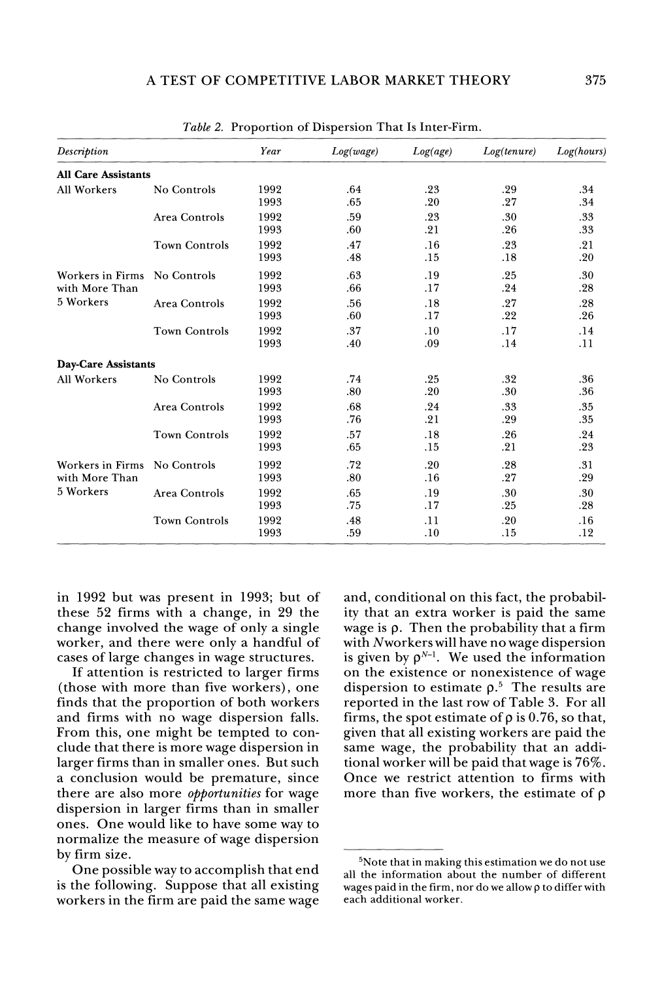| Description                                     |                      | Year         | Log(wage)  | Log(age)   | Log(tenure) | Log(hours) |
|-------------------------------------------------|----------------------|--------------|------------|------------|-------------|------------|
| <b>All Care Assistants</b>                      |                      |              |            |            |             |            |
| All Workers                                     | No Controls          | 1992<br>1993 | .64<br>.65 | .23<br>.20 | .29<br>.27  | .34<br>.34 |
|                                                 | Area Controls        | 1992<br>1993 | .59<br>.60 | .23<br>.21 | .30<br>.26  | .33<br>.33 |
|                                                 | <b>Town Controls</b> | 1992<br>1993 | .47<br>.48 | .16<br>.15 | .23<br>.18  | .21<br>.20 |
| Workers in Firms<br>with More Than<br>5 Workers | No Controls          | 1992<br>1993 | .63<br>.66 | .19<br>.17 | .25<br>.24  | .30<br>.28 |
|                                                 | Area Controls        | 1992<br>1993 | .56<br>.60 | .18<br>.17 | .27<br>.22  | .28<br>.26 |
|                                                 | <b>Town Controls</b> | 1992<br>1993 | .37<br>.40 | .10<br>.09 | .17<br>.14  | .14<br>.11 |
| <b>Day-Care Assistants</b>                      |                      |              |            |            |             |            |
| All Workers                                     | No Controls          | 1992<br>1993 | .74<br>.80 | .25<br>.20 | .32<br>.30  | .36<br>.36 |
|                                                 | Area Controls        | 1992<br>1993 | .68<br>.76 | .24<br>.21 | .33<br>.29  | .35<br>.35 |
|                                                 | <b>Town Controls</b> | 1992<br>1993 | .57<br>.65 | .18<br>.15 | .26<br>.21  | .24<br>.23 |
| Workers in Firms<br>with More Than<br>5 Workers | No Controls          | 1992<br>1993 | .72<br>.80 | .20<br>.16 | .28<br>.27  | .31<br>.29 |
|                                                 | Area Controls        | 1992<br>1993 | .65<br>.75 | .19<br>.17 | .30<br>.25  | .30<br>.28 |
|                                                 | <b>Town Controls</b> | 1992<br>1993 | .48<br>.59 | .11<br>.10 | .20<br>.15  | .16<br>.12 |

**Table 2. Proportion of Dispersion That Is Inter-Firm.** 

**in 1992 but was present in 1993; but of these 52 firms with a change, in 29 the change involved the wage of only a single worker, and there were only a handful of cases of large changes in wage structures.** 

**If attention is restricted to larger firms (those with more than five workers), one finds that the proportion of both workers and firms with no wage dispersion falls. From this, one might be tempted to conclude that there is more wage dispersion in larger firms than in smaller ones. But such a conclusion would be premature, since there are also more opportunities for wage dispersion in larger firms than in smaller ones. One would like to have some way to normalize the measure of wage dispersion by firm size.** 

**One possible way to accomplish that end is the following. Suppose that all existing workers in the firm are paid the same wage** 

**and, conditional on this fact, the probability that an extra worker is paid the same wage is p. Then the probability that a firm with Nworkers will have no wage dispersion**  is given by  $\rho^{N-1}$ . We used the information **on the existence or nonexistence of wage dispersion to estimate p.5 The results are reported in the last row of Table 3. For all**  firms, the spot estimate of  $\rho$  is 0.76, so that, **given that all existing workers are paid the same wage, the probability that an additional worker will be paid that wage is 76%. Once we restrict attention to firms with more than five workers, the estimate of p** 

**<sup>5</sup>Note that in making this estimation we do not use all the information about the number of different wages paid in the firm, nor do we allow p to differ with each additional worker.**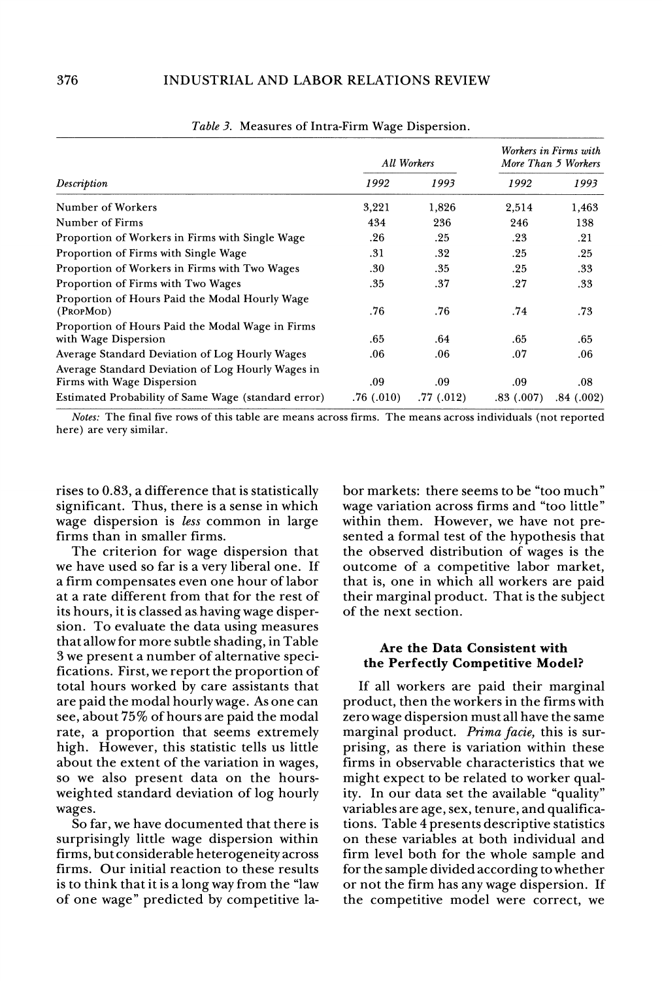|                                                                                 |                 | All Workers | Workers in Firms with<br>More Than 5 Workers |           |  |
|---------------------------------------------------------------------------------|-----------------|-------------|----------------------------------------------|-----------|--|
| Description                                                                     | 1992            | 1993        | 1992                                         | 1993      |  |
| Number of Workers                                                               | 3,221           | 1,826       | 2,514                                        | 1,463     |  |
| Number of Firms                                                                 | 434             | 236         | 246                                          | 138       |  |
| Proportion of Workers in Firms with Single Wage                                 | .26             | .25         | .23                                          | .21       |  |
| Proportion of Firms with Single Wage                                            | .31             | .32         | .25                                          | .25       |  |
| Proportion of Workers in Firms with Two Wages                                   | .30             | .35         | .25                                          | .33       |  |
| Proportion of Firms with Two Wages                                              | .35             | .37         | .27                                          | .33       |  |
| Proportion of Hours Paid the Modal Hourly Wage<br>(PROPMOD)                     | .76             | .76         | .74                                          | .73       |  |
| Proportion of Hours Paid the Modal Wage in Firms                                |                 |             |                                              |           |  |
| with Wage Dispersion                                                            | .65             | .64         | .65                                          | .65       |  |
| Average Standard Deviation of Log Hourly Wages                                  | .06             | .06         | .07                                          | .06       |  |
| Average Standard Deviation of Log Hourly Wages in<br>Firms with Wage Dispersion | .09             | .09         | .09                                          | .08       |  |
| Estimated Probability of Same Wage (standard error)                             | $.76 \; (.010)$ | .77 (.012)  | $.83 \; (.007)$                              | .84(.002) |  |

**Table 3. Measures of Intra-Firm Wage Dispersion.** 

**Notes: The final five rows of this table are means across firms. The means across individuals (not reported here) are very similar.** 

**rises to 0.83, a difference that is statistically significant. Thus, there is a sense in which wage dispersion is less common in large firms than in smaller firms.** 

**The criterion for wage dispersion that we have used so far is a very liberal one. If a firm compensates even one hour of labor at a rate different from that for the rest of its hours, it is classed as. having wage dispersion. To evaluate the data using measures that allow for more subtle shading, in Table 3 we present a number of alternative specifications. First, we report the proportion of total hours worked by care assistants that are paid the modal hourly wage. As one can see, about 75% of hours are paid the modal rate, a proportion that seems extremely high. However, this statistic tells us little about the extent of the variation in wages, so we also present data on the hoursweighted standard deviation of log hourly wages.** 

**So far, we have documented that there is surprisingly little wage dispersion within firms, but considerable heterogeneity across firms. Our initial reaction to these results is to think that it is a long way from the "law of one wage" predicted by competitive la-** **bor markets: there seems to be "too much" wage variation across firms and "too little" within them. However, we have not presented a formal test of the hypothesis that the observed distribution of wages is the outcome of a competitive labor market, that is, one in which all workers are paid their marginal product. That is the subject of the next section.** 

## **Are the Data Consistent with the Perfectly Competitive Model?**

**If all workers are paid their marginal product, then the workers in the firms with zero wage dispersion must all have the same marginal product. Prima facie, this is surprising, as there is variation within these firms in observable characteristics that we might expect to be related to worker quality. In our data set the available "quality" variables are age, sex, tenure, and qualifications. Table 4 presents descriptive statistics on these variables at both individual and firm level both for the whole sample and for the sample divided according to whether or not the firm has any wage dispersion. If the competitive model were correct, we**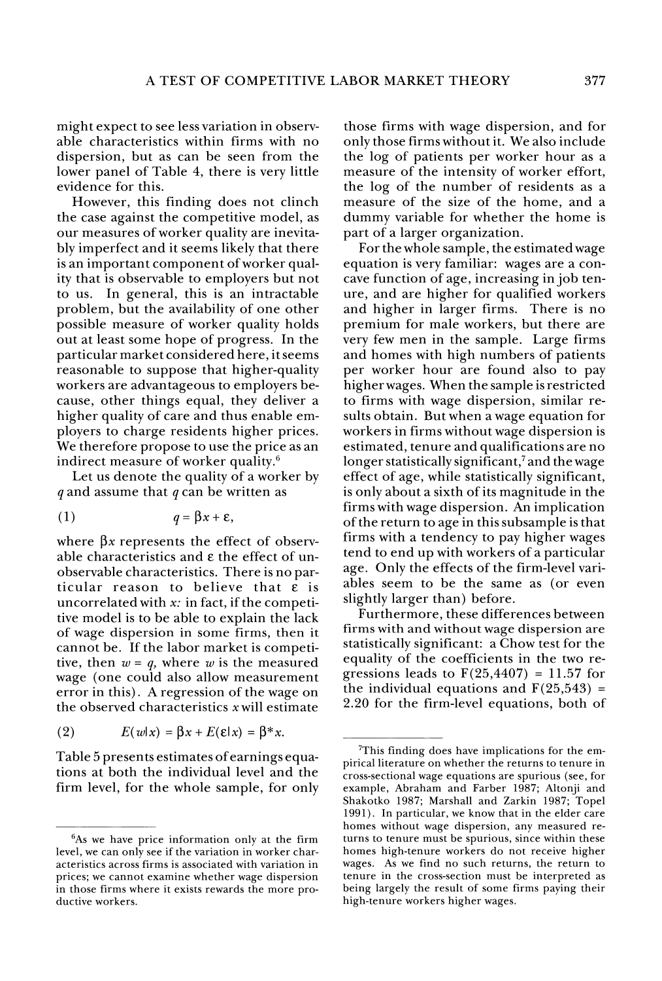**might expect to see less variation in observable characteristics within firms with no dispersion, but as can be seen from the lower panel of Table 4, there is very little evidence for this.** 

**However, this finding does not clinch the case against the competitive model, as our measures of worker quality are inevitably imperfect and it seems likely that there is an important component of worker quality that is observable to employers but not to us. In general, this is an intractable problem, but the availability of one other possible measure of worker quality holds out at least some hope of progress. In the particular market considered here, it seems reasonable to suppose that higher-quality workers are advantageous to employers because, other things equal, they deliver a higher quality of care and thus enable employers to charge residents higher prices. We therefore propose to use the price as an indirect measure of worker quality.'** 

**Let us denote the quality of a worker by q and assume that q can be written as** 

$$
(1) \t\t q = \beta x + \varepsilon,
$$

where  $\beta x$  represents the effect of observable characteristics and  $\varepsilon$  the effect of un**observable characteristics. There is no particular reason to believe that , is uncorrelated with x: in fact, if the competitive model is to be able to explain the lack of wage dispersion in some firms, then it cannot be. If the labor market is competi**tive, then  $w = q$ , where w is the measured **wage (one could also allow measurement error in this). A regression of the wage on the observed characteristics x will estimate** 

(2) 
$$
E(w|x) = \beta x + E(\varepsilon|x) = \beta * x.
$$

**Table 5 presents estimates of earnings equations at both the individual level and the firm level, for the whole sample, for only** 

**those firms with wage dispersion, and for only those firms without it. We also include the log of patients per worker hour as a measure of the intensity of worker effort, the log of the number of residents as a measure of the size of the home, and a dummy variable for whether the home is part of a larger organization.** 

**For the whole sample, the estimated wage equation is very familiar: wages are a concave function of age, increasing in job tenure, and are higher for qualified workers and higher in larger firms. There is no premium for male workers, but there are very few men in the sample. Large firms and homes with high numbers of patients per worker hour are found also to pay higher wages. When the sample is restricted to firms with wage dispersion, similar results obtain. But when a wage equation for workers in firms without wage dispersion is estimated, tenure and qualifications are no longer statistically significant,' and the wage effect of age, while statistically significant, is only about a sixth of its magnitude in the firms with wage dispersion. An implication of the return to age in this subsample is that firms with a tendency to pay higher wages tend to end up with workers of a particular age. Only the effects of the firm-level variables seem to be the same as (or even slightly larger than) before.** 

**Furthermore, these differences between firms with and without wage dispersion are statistically significant: a Chow test for the equality of the coefficients in the two regressions leads to F(25,4407) = 11.57 for the individual equations and F(25,543) = 2.20 for the firm-level equations, both of** 

**<sup>6</sup>As we have price information only at the firm level, we can only see if the variation in worker characteristics across firms is associated with variation in prices; we cannot examine whether wage dispersion in those firms where it exists rewards the more productive workers.** 

**<sup>7</sup>This finding does have implications for the empirical literature on whether the returns to tenure in cross-sectional wage equations are spurious (see, for example, Abraham and Farber 1987; Altonji and Shakotko 1987; Marshall and Zarkin 1987; Topel 1991). In particular, we know that in the elder care homes without wage dispersion, any measured returns to tenure must be spurious, since within these homes high-tenure workers do not receive higher wages. As we find no such returns, the return to tenure in the cross-section must be interpreted as being largely the result of some firms paying their high-tenure workers higher wages.**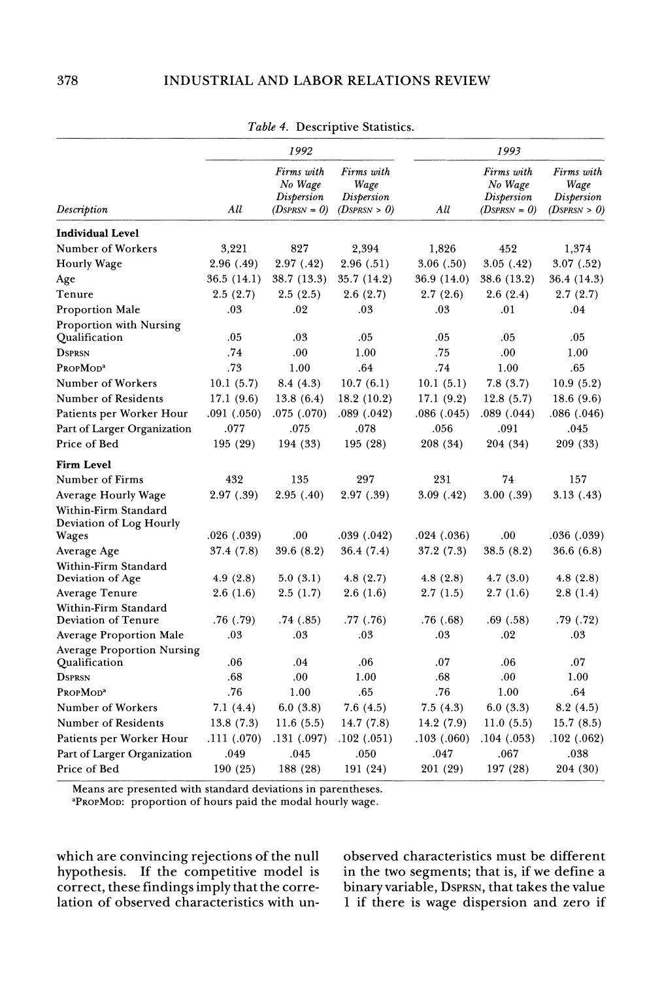|                                                    |             | 1992                                                  |                                                         | 1993        |                                                       |                                                  |  |
|----------------------------------------------------|-------------|-------------------------------------------------------|---------------------------------------------------------|-------------|-------------------------------------------------------|--------------------------------------------------|--|
| Description                                        | All         | Firms with<br>No Wage<br>Dispersion<br>$(DsPRSN = 0)$ | Firms with<br>Wage<br><b>Dispersion</b><br>(DsPRSN > 0) | All         | Firms with<br>No Wage<br>Dispersion<br>$(DsPRSN = 0)$ | Firms with<br>Wage<br>Dispersion<br>(DsPRSN > 0) |  |
| <b>Individual Level</b>                            |             |                                                       |                                                         |             |                                                       |                                                  |  |
| Number of Workers                                  | 3,221       | 827                                                   | 2,394                                                   | 1,826       | 452                                                   | 1,374                                            |  |
| Hourly Wage                                        | 2.96 (.49)  | 2.97(0.42)                                            | 2.96(.51)                                               | 3.06(.50)   | 3.05(0.42)                                            | 3.07(0.52)                                       |  |
| Age                                                | 36.5 (14.1) | 38.7 (13.3)                                           | 35.7 (14.2)                                             | 36.9 (14.0) | 38.6 (13.2)                                           | 36.4 (14.3)                                      |  |
| Tenure                                             | 2.5(2.7)    | 2.5(2.5)                                              | 2.6(2.7)                                                | 2.7(2.6)    | 2.6(2.4)                                              | 2.7(2.7)                                         |  |
| <b>Proportion Male</b>                             | .03         | .02                                                   | .03                                                     | .03         | .01                                                   | .04                                              |  |
| Proportion with Nursing<br>Qualification           | .05         | .03                                                   | .05                                                     | .05         | .05                                                   | .05                                              |  |
| <b>DSPRSN</b>                                      | .74         | 00.                                                   | 1.00                                                    | .75         | .00.                                                  | 1.00                                             |  |
| PROPMOD <sup>a</sup>                               | .73         | 1.00                                                  | .64                                                     | .74         | 1.00                                                  | .65                                              |  |
| Number of Workers                                  | 10.1(5.7)   | 8.4(4.3)                                              | 10.7(6.1)                                               | 10.1(5.1)   | 7.8(3.7)                                              | 10.9(5.2)                                        |  |
| <b>Number of Residents</b>                         | 17.1(9.6)   | 13.8(6.4)                                             | 18.2 (10.2)                                             | 17.1(9.2)   | 12.8(5.7)                                             | 18.6(9.6)                                        |  |
| Patients per Worker Hour                           | .091 (.050) | .075 (.070)                                           | .089(.042)                                              | .086(.045)  | .089(.044)                                            | .086(.046)                                       |  |
| Part of Larger Organization                        | .077        | .075                                                  | .078                                                    | .056        | .091                                                  | .045                                             |  |
| Price of Bed                                       | 195 (29)    | 194 (33)                                              | 195 (28)                                                | 208 (34)    | 204 (34)                                              | 209 (33)                                         |  |
| <b>Firm Level</b>                                  |             |                                                       |                                                         |             |                                                       |                                                  |  |
| Number of Firms                                    | 432         | 135                                                   | 297                                                     | 231         | 74                                                    | 157                                              |  |
| <b>Average Hourly Wage</b>                         | 2.97(.39)   | 2.95(.40)                                             | 2.97(.39)                                               | 3.09(0.42)  | 3.00(.39)                                             | 3.13(0.43)                                       |  |
| Within-Firm Standard<br>Deviation of Log Hourly    |             |                                                       |                                                         |             |                                                       |                                                  |  |
| Wages                                              | .026(.039)  | .00                                                   | .039(.042)                                              | .024(.036)  | .00                                                   | .036(.039)                                       |  |
| Average Age                                        | 37.4 (7.8)  | 39.6 (8.2)                                            | 36.4(7.4)                                               | 37.2 (7.3)  | 38.5(8.2)                                             | 36.6(6.8)                                        |  |
| Within-Firm Standard<br>Deviation of Age           | 4.9(2.8)    | 5.0(3.1)                                              | 4.8(2.7)                                                | 4.8(2.8)    | 4.7(3.0)                                              | 4.8(2.8)                                         |  |
| Average Tenure                                     | 2.6(1.6)    | 2.5(1.7)                                              | 2.6(1.6)                                                | 2.7(1.5)    | 2.7(1.6)                                              | 2.8 (1.4)                                        |  |
| Within-Firm Standard                               |             |                                                       |                                                         |             |                                                       |                                                  |  |
| Deviation of Tenure                                | .76(0.79)   | .74(.85)                                              | .77(0.76)                                               | .76(.68)    | .69(.58)                                              | .79 (.72)                                        |  |
| <b>Average Proportion Male</b>                     | .03         | .03                                                   | .03                                                     | .03         | .02                                                   | .03                                              |  |
| <b>Average Proportion Nursing</b><br>Qualification | .06         | .04                                                   | .06                                                     | .07         | .06                                                   | .07                                              |  |
| <b>DSPRSN</b>                                      | .68         | .00.                                                  | 1.00                                                    | .68         | .00                                                   | 1.00                                             |  |
| PROPMOD <sup>a</sup>                               | .76         | 1.00                                                  | .65                                                     | .76         | 1.00                                                  | .64                                              |  |
| Number of Workers                                  | 7.1(4.4)    | 6.0(3.8)                                              | 7.6(4.5)                                                | 7.5(4.3)    | 6.0(3.3)                                              | 8.2(4.5)                                         |  |
| <b>Number of Residents</b>                         | 13.8(7.3)   | 11.6(5.5)                                             | 14.7(7.8)                                               | 14.2 (7.9)  | 11.0(5.5)                                             | 15.7(8.5)                                        |  |
| Patients per Worker Hour                           | .111 (.070) | .131 (.097)                                           | .102(.051)                                              | .103(.060)  | .104 (.053)                                           | .102(.062)                                       |  |
| Part of Larger Organization                        | .049        | .045                                                  | .050                                                    | .047        | .067                                                  | .038                                             |  |
| Price of Bed                                       | 190 (25)    | 188 (28)                                              | 191 (24)                                                | 201 (29)    | 197 (28)                                              | 204 (30)                                         |  |

**Table 4. Descriptive Statistics.** 

**Means are presented with standard deviations in parentheses.** 

**aPRoPMOD: proportion of hours paid the modal hourly wage.** 

**which are convincing rejections of the null hypothesis. If the competitive model is correct, these findings imply that the correlation of observed characteristics with un-** **observed characteristics must be different in the two segments; that is, if we define a binary variable, DSPRSN, that takes the value 1 if there is wage dispersion and zero if**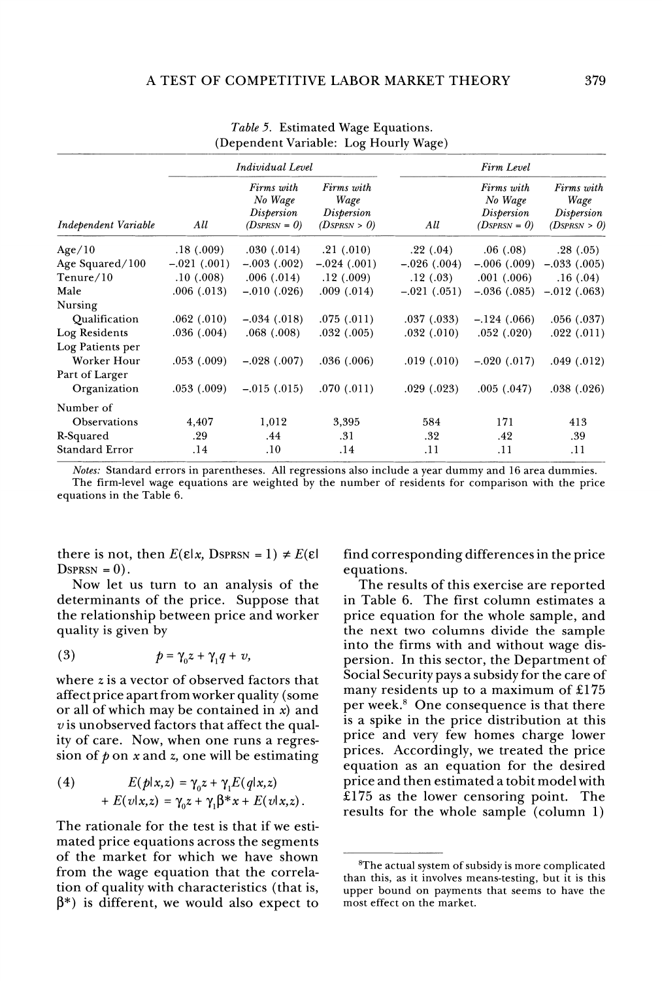|                       |                 | <b>Individual Level</b>                               |                                                  | Firm Level       |                                                       |                                                  |  |
|-----------------------|-----------------|-------------------------------------------------------|--------------------------------------------------|------------------|-------------------------------------------------------|--------------------------------------------------|--|
| Independent Variable  | All             | Firms with<br>No Wage<br>Dispersion<br>$(DsPRSN = 0)$ | Firms with<br>Wage<br>Dispersion<br>(DSPRSN > 0) | All              | Firms with<br>No Wage<br>Dispersion<br>$(DSPRSN = 0)$ | Firms with<br>Wage<br>Dispersion<br>(DsPRSN > 0) |  |
| Age/10                | .18(.009)       | .030(.014)                                            | $.21 \; (.010)$                                  | .22(.04)         | .06(.08)                                              | .28(.05)                                         |  |
| Age Squared/100       | $-.021$ (.001)  | $-.003(.002)$                                         | $-.024(.001)$                                    | $-.026(.004)$    | $-.006(.009)$                                         | $-.033$ $(.005)$                                 |  |
| Tenure/10             | .10(.008)       | .006(.014)                                            | .12(0.009)                                       | .12(.03)         | $.001$ $(.006)$                                       | .16(.04)                                         |  |
| Male                  | .006(.013)      | $-.010(.026)$                                         | $.009$ $(.014)$                                  | $-.021(.051)$    | $-.036(.085)$                                         | $-.012(.063)$                                    |  |
| Nursing               |                 |                                                       |                                                  |                  |                                                       |                                                  |  |
| Qualification         | $.062$ (.010)   | $-.034(.018)$                                         | .075(.011)                                       | $.037 \; (.033)$ | $-.124(.066)$                                         | .056(.037)                                       |  |
| Log Residents         | .036(.004)      | $.068$ $(.008)$                                       | $.032$ $(.005)$                                  | $.032$ $(.010)$  | $.052$ $(.020)$                                       | $.022$ $(.011)$                                  |  |
| Log Patients per      |                 |                                                       |                                                  |                  |                                                       |                                                  |  |
| Worker Hour           | $.053$ $(.009)$ | $-.028(.007)$                                         | $.036$ $(.006)$                                  | $.019$ $(.010)$  | $-.020(.017)$                                         | $.049$ $(.012)$                                  |  |
| Part of Larger        |                 |                                                       |                                                  |                  |                                                       |                                                  |  |
| Organization          | .053(.009)      | $-.015(.015)$                                         | .070(0.011)                                      | $.029$ $(.023)$  | $.005$ $(.047)$                                       | $.038$ $(.026)$                                  |  |
| Number of             |                 |                                                       |                                                  |                  |                                                       |                                                  |  |
| <b>Observations</b>   | 4,407           | 1,012                                                 | 3,395                                            | 584              | 171                                                   | 413                                              |  |
| R-Squared             | .29             | .44                                                   | .31                                              | .32              | .42                                                   | .39                                              |  |
| <b>Standard Error</b> | .14             | .10                                                   | .14                                              | .11              | .11                                                   | .11                                              |  |

**Table 5. Estimated Wage Equations. (Dependent Variable: Log Hourly Wage)** 

**Notes: Standard errors in parentheses. All regressions also include a year dummy and 16 area dummies. The firm-level wage equations are weighted by the number of residents for comparison with the price equations in the Table 6.** 

**there is not, then**  $E(\varepsilon | x, \text{DSPRSN} = 1) \neq E(\varepsilon | \text{E} \cdot \text{E})$  $D$ SPRSN =  $0$ ).

**Now let us turn to an analysis of the determinants of the price. Suppose that the relationship between price and worker quality is given by** 

(3) 
$$
p = \gamma_0 z + \gamma_1 q + v,
$$

**where z is a vector of observed factors that affect price apart from worker quality (some or all of which may be contained in x) and v is unobserved factors that affect the quality of care. Now, when one runs a regression of p on x and z, one will be estimating** 

(4) 
$$
E(\hat{p}|x,z) = \gamma_0 z + \gamma_1 E(q|x,z) + E(v|x,z) = \gamma_0 z + \gamma_1 \beta^* x + E(v|x,z).
$$

**The rationale for the test is that if we estimated price equations across the segments of the market for which we have shown from the wage equation that the correlation of quality with characteristics (that is, P\*) is different, we would also expect to**  **find corresponding differences in the price equations.** 

**The results of this exercise are reported in Table 6. The first column estimates a price equation for the whole sample, and the next two columns divide the sample into the firms with and without wage dispersion. In this sector, the Department of Social Security pays a subsidy for the care of**  many residents up to a maximum of £175 **per week.8 One consequence is that there is a spike in the price distribution at this price and very few homes charge lower prices. Accordingly, we treated the price equation as an equation for the desired price and then estimated a tobit model with ?175 as the lower censoring point. The results for the whole sample (column 1)** 

**<sup>8</sup>The actual system of subsidy is more complicated than this, as it involves means-testing, but it is this upper bound on payments that seems to have the most effect on the market.**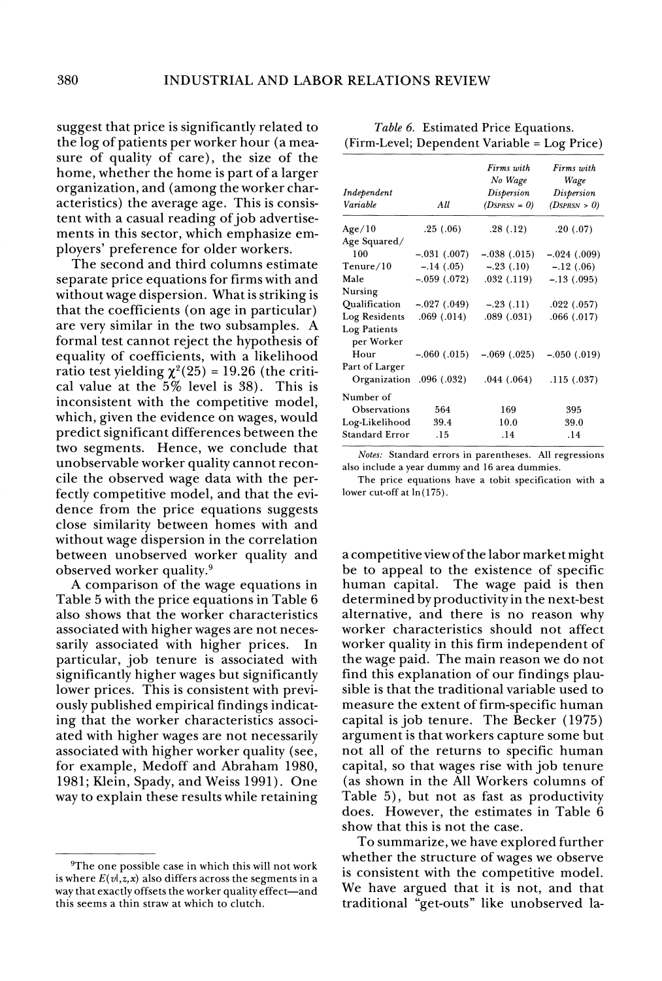**suggest that price is significantly related to the log of patients per worker hour (a measure of quality of care), the size of the home, whether the home is part of a larger organization, and (among the worker characteristics) the average age. This is consistent with a casual reading of job advertisements in this sector, which emphasize employers' preference for older workers.** 

**The second and third columns estimate separate price equations for firms with and without wage dispersion. What is striking is that the coefficients (on age in particular) are very similar in the two subsamples. A formal test cannot reject the hypothesis of equality of coefficients, with a likelihood**  ratio test yielding  $\chi^2(25) = 19.26$  (the criti**cal value at the 5% level is 38). This is inconsistent with the competitive model, which, given the evidence on wages, would predict significant differences between the two segments. Hence, we conclude that unobservable worker quality cannot reconcile the observed wage data with the perfectly competitive model, and that the evidence from the price equations suggests close similarity between homes with and without wage dispersion in the correlation between unobserved worker quality and observed worker quality.'** 

**A comparison of the wage equations in Table 5 with the price equations in Table 6 also shows that the worker characteristics associated with higher wages are not neces**sarily associated with higher prices. **particular, job tenure is associated with significantly higher wages but significantly lower prices. This is consistent with previously published empirical findings indicating that the worker characteristics associated with higher wages are not necessarily associated with higher worker quality (see, for example, Medoff and Abraham 1980, 1981; Klein, Spady, and Weiss 1991). One way to explain these results while retaining** 

| Independent<br>Variable            | All            | Firms with<br>No Wage<br>Dispersion<br>$(DsPRSN = 0)$ | Firms with<br>Wage<br>Dispersion<br>(DsPRSN > 0) |
|------------------------------------|----------------|-------------------------------------------------------|--------------------------------------------------|
| Age/10                             | .25(0.06)      | .28(.12)                                              | .20(.07)                                         |
| Age Squared/                       |                |                                                       |                                                  |
| 100                                | $-.031$ (.007) | $-.038(.015)$                                         | $-.024$ (.009)                                   |
| $T$ enure/ $10$                    | $-.14(.05)$    | $-.23(.10)$                                           | $-12(0.06)$                                      |
| Male                               | $-.059$ (.072) | .032(.119)                                            | $-.13(.095)$                                     |
| Nursing                            |                |                                                       |                                                  |
| Qualification                      | $-.027(.049)$  | $-.23(.11)$                                           | $.022$ $(.057)$                                  |
| Log Residents                      | $.069$ (.014)  | .089(.031)                                            | .066(.017)                                       |
| Log Patients<br>per Worker<br>Hour | $-.060(.015)$  | $-.069$ (.025)                                        | $-.050(.019)$                                    |
| Part of Larger                     |                |                                                       |                                                  |
| Organization                       | .096 (.032)    | $.044$ $(.064)$                                       | .115(.037)                                       |
| Number of                          |                |                                                       |                                                  |
| <b>Observations</b>                | 564            | 169                                                   | 395                                              |
| Log-Likelihood                     | 39.4           | 10.0                                                  | 39.0                                             |
| <b>Standard Error</b>              | .15            | .14                                                   | .14                                              |

## **Table 6. Estimated Price Equations. (Firm-Level; Dependent Variable = Log Price)**

**Notes: Standard errors in parentheses. All regressions also include a year dummy and 16 area dummies.** 

**The price equations have a tobit specification with a lower cut-off at ln(175).** 

**a competitive view of the labor market might be to appeal to the existence of specific**  The wage paid is then **determined by productivity in the next-best alternative, and there is no reason why worker characteristics should not affect worker quality in this firm independent of the wage paid. The main reason we do not find this explanation of our findings plausible is that the traditional variable used to measure the extent of firm-specific human capital is job tenure. The Becker (1975) argument is that workers capture some but not all of the returns to specific human capital, so that wages rise with job tenure (as shown in the All Workers columns of Table 5), but not as fast as productivity does. However, the estimates in Table 6 show that this is not the case.** 

**To summarize, we have explored further whether the structure of wages we observe is consistent with the competitive model. We have argued that it is not, and that traditional "get-outs" like unobserved la-**

**<sup>9</sup>The one possible case in which this will not work**  is where  $E(v|\cdot,z,x)$  also differs across the segments in a **way that exactly offsets the worker quality effect-and this seems a thin straw at which to clutch.**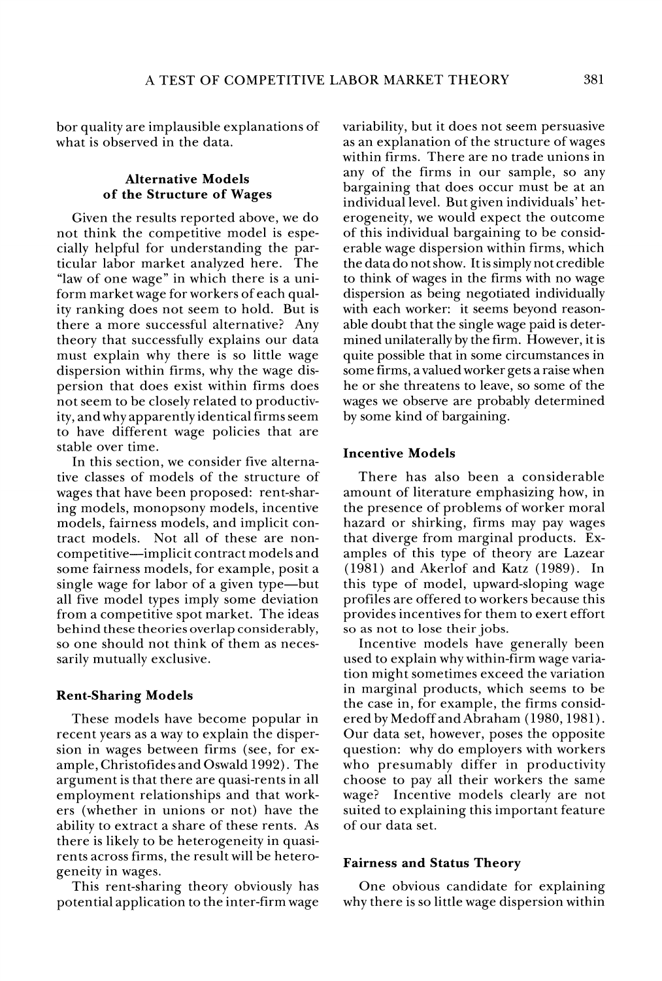**bor quality are implausible explanations of what is observed in the data.** 

# **Alternative Models of the Structure of Wages**

**Given the results reported above, we do not think the competitive model is especially helpful for understanding the particular labor market analyzed here. The "law of one wage" in which there is a uniform market wage for workers of each quality ranking does not seem to hold. But is there a more successful alternative? Any theory that successfully explains our data must explain why there is so little wage dispersion within firms, why the wage dispersion that does exist within firms does not seem to be closely related to productivity, and why apparently identical firms seem to have different wage policies that are stable over time.** 

**In this section, we consider five alternative classes of models of the structure of wages that have been proposed: rent-sharing models, monopsony models, incentive models, fairness models, and implicit contract models. Not all of these are noncompetitive-implicit contract models and some fairness models, for example, posit a single wage for labor of a given type-but all five model types imply some deviation from a competitive spot market. The ideas behind these theories overlap considerably, so one should not think of them as necessarily mutually exclusive.** 

#### **Rent-Sharing Models**

**These models have become popular in recent years as a way to explain the dispersion in wages between firms (see, for example, Christofides and Oswald 1992). The argument is that there are quasi-rents in all employment relationships and that workers (whether in unions or not) have the ability to extract a share of these rents. As there is likely to be heterogeneity in quasirents across firms, the result will be heterogeneity in wages.** 

**This rent-sharing theory obviously has potential application to the inter-firm wage** 

**variability, but it does not seem persuasive as an explanation of the structure of wages within firms. There are no trade unions in any of the firms in our sample, so any bargaining that does occur must be at an individual level. But given individuals' heterogeneity, we would expect the outcome of this individual bargaining to be considerable wage dispersion within firms, which the data do not show. It is simply not credible to think of wages in the firms with no wage dispersion as being negotiated individually with each worker: it seems beyond reasonable doubt that the single wage paid is determined unilaterally by the firm. However, it is quite possible that in some circumstances in some firms, a valued worker gets a raise when he or she threatens to leave, so some of the wages we observe are probably determined by some kind of bargaining.** 

## **Incentive Models**

**There has also been a considerable amount of literature emphasizing how, in the presence of problems of worker moral hazard or shirking, firms may pay wages that diverge from marginal products. Examples of this type of theory are Lazear (1981) and Akerlof and Katz (1989). In this type of model, upward-sloping wage profiles are offered to workers because this provides incentives for them to exert effort so as not to lose their jobs.** 

**Incentive models have generally been used to explain why within-firm wage variation might sometimes exceed the variation in marginal products, which seems to be the case in, for example, the firms considered by Medoff and Abraham (1980, 1981). Our data set, however, poses the opposite question: why do employers with workers who presumably differ in productivity choose to pay all their workers the same wage? Incentive models clearly are not suited to explaining this important feature of our data set.** 

## **Fairness and Status Theory**

**One obvious candidate for explaining why there is so little wage dispersion within**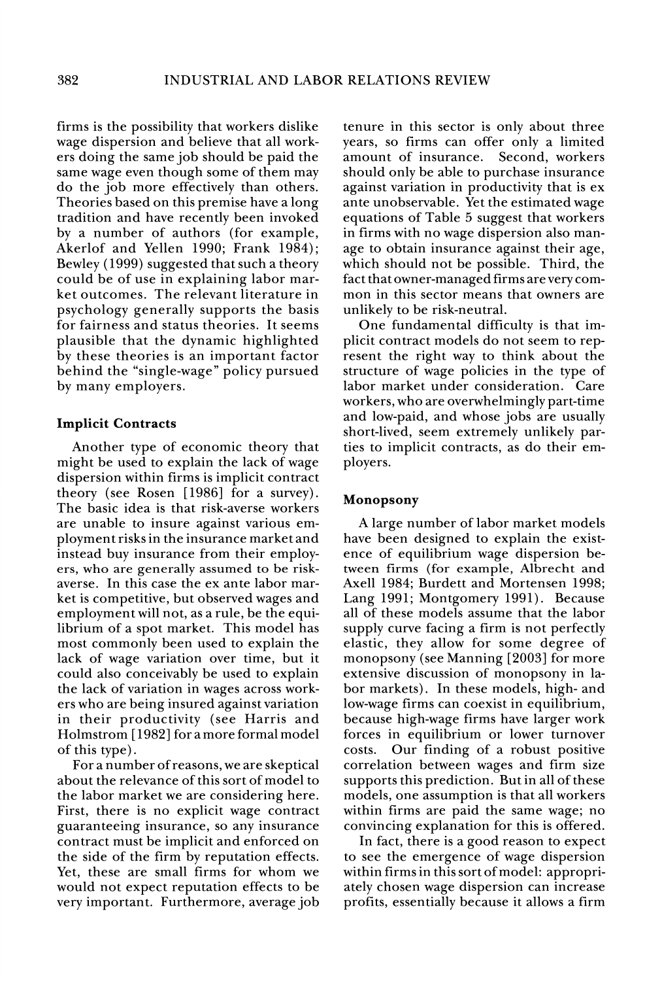**firms is the possibility that workers dislike wage dispersion and believe that all workers doing the same job should be paid the same wage even though some of them may do the job more effectively than others. Theories based on this premise have a long tradition and have recently been invoked by a number of authors (for example, Akerlof and Yellen 1990; Frank 1984); Bewley (1999) suggested that such a theory could be of use in explaining labor market outcomes. The relevant literature in psychology generally supports the basis for fairness and status theories. It seems plausible that the dynamic highlighted by these theories is an important factor behind the "single-wage" policy pursued by many employers.** 

#### **Implicit Contracts**

**Another type of economic theory that might be used to explain the lack of wage dispersion within firms is implicit contract theory (see Rosen [1986] for a survey). The basic idea is that risk-averse workers are unable to insure against various employment risks in the insurance market and instead buy insurance from their employers, who are generally assumed to be riskaverse. In this case the ex ante labor market is competitive, but observed wages and employment will not, as a rule, be the equilibrium of a spot market. This model has most commonly been used to explain the lack of wage variation over time, but it could also conceivably be used to explain the lack of variation in wages across workers who are being insured against variation in their productivity (see Harris and Holmstrom [1982] for a more formal model of this type).** 

**For a number of reasons, we are skeptical about the relevance of this sort of model to the labor market we are considering here. First, there is no explicit wage contract guaranteeing insurance, so any insurance contract must be implicit and enforced on the side of the firm by reputation effects. Yet, these are small firms for whom we would not expect reputation effects to be very important. Furthermore, average job** 

**tenure in this sector is only about three years, so firms can offer only a limited amount of insurance. Second, workers should only be able to purchase insurance against variation in productivity that is ex ante unobservable. Yet the estimated wage equations of Table 5 suggest that workers in firms with no wage dispersion also manage to obtain insurance against their age, which should not be possible. Third, the fact that owner-managed firms are very common in this sector means that owners are unlikely to be risk-neutral.** 

**One fundamental difficulty is that implicit contract models do not seem to represent the right way to think about the structure of wage policies in the type of labor market under consideration. Care workers, who are overwhelmingly part-time and low-paid, and whose jobs are usually short-lived, seem extremely unlikely parties to implicit contracts, as do their employers.** 

### **Monopsony**

**A large number of labor market models have been designed to explain the existence of equilibrium wage dispersion between firms (for example, Albrecht and Axell 1984; Burdett and Mortensen 1998; Lang 1991; Montgomery 1991). Because all of these models assume that the labor supply curve facing a firm is not perfectly elastic, they allow for some degree of monopsony (see Manning [2003] for more extensive discussion of monopsony in labor markets). In these models, high- and low-wage firms can coexist in equilibrium, because high-wage firms have larger work forces in equilibrium or lower turnover costs. Our finding of a robust positive correlation between wages and firm size supports this prediction. But in all of these models, one assumption is that all workers within firms are paid the same wage; no convincing explanation for this is offered.** 

**In fact, there is a good reason to expect to see the emergence of wage dispersion within firms in this sort of model: appropriately chosen wage dispersion can increase profits, essentially because it allows a firm**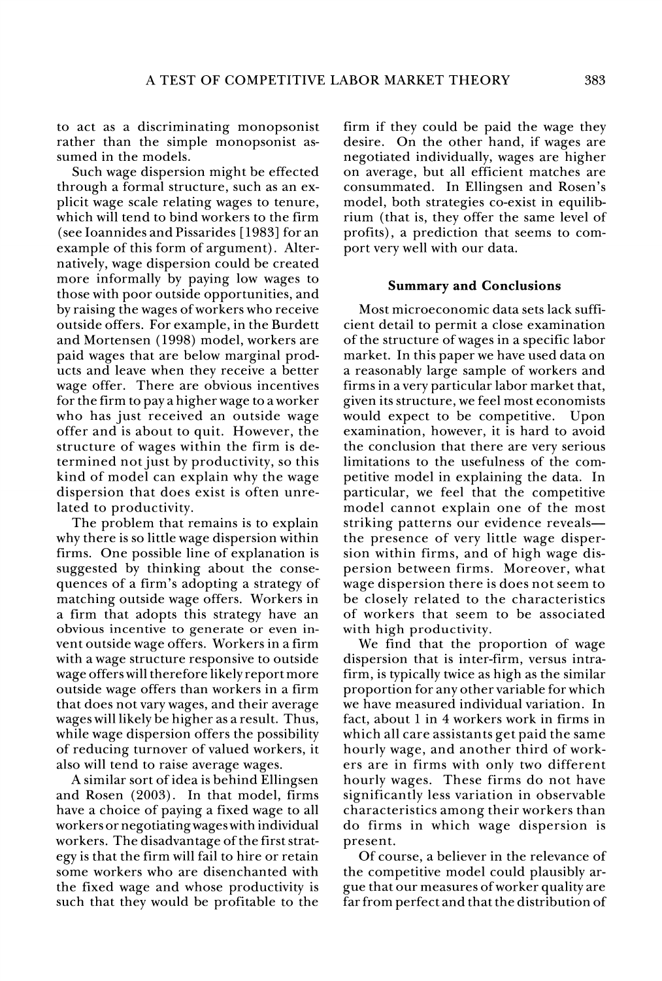**to act as a discriminating monopsonist rather than the simple monopsonist assumed in the models.** 

**Such wage dispersion might be effected through a formal structure, such as an explicit wage scale relating wages to tenure, which will tend to bind workers to the firm (see loannides and Pissarides [1983] for an example of this form of argument). Alternatively, wage dispersion could be created more informally by paying low wages to those with poor outside opportunities, and by raising the wages of workers who receive outside offers. For example, in the Burdett and Mortensen (1998) model, workers are paid wages that are below marginal products and leave when they receive a better wage offer. There are obvious incentives for the firm to pay a higher wage to a worker who has just received an outside wage offer and is about to quit. However, the structure of wages within the firm is determined not just by productivity, so this kind of model can explain why the wage dispersion that does exist is often unrelated to productivity.** 

**The problem that remains is to explain why there is so little wage dispersion within firms. One possible line of explanation is suggested by thinking about the consequences of a firm's adopting a strategy of matching outside wage offers. Workers in a firm that adopts this strategy have an obvious incentive to generate or even invent outside wage offers. Workers in a firm with a wage structure responsive to outside wage offers will therefore likely report more outside wage offers than workers in a firm that does not vary wages, and their average wages will likely be higher as a result. Thus, while wage dispersion offers the possibility of reducing turnover of valued workers, it also will tend to raise average wages.** 

**A similar sort of idea is behind Ellingsen and Rosen (2003). In that model, firms have a choice of paying a fixed wage to all workers or negotiating wages with individual workers. The disadvantage of the first strategy is that the firm will fail to hire or retain some workers who are disenchanted with the fixed wage and whose productivity is such that they would be profitable to the**  **firm if they could be paid the wage they desire. On the other hand, if wages are negotiated individually, wages are higher on average, but all efficient matches are consummated. In Ellingsen and Rosen's model, both strategies co-exist in equilibrium (that is, they offer the same level of profits), a prediction that seems to comport very well with our data.** 

#### **Summary and Conclusions**

**Most microeconomic data sets lack sufficient detail to permit a close examination of the structure of wages in a specific labor market. In this paper we have used data on a reasonably large sample of workers and firms in a very particular labor market that, given its structure, we feel most economists**  would expect to be competitive. **examination, however, it is hard to avoid the conclusion that there are very serious limitations to the usefulness of the competitive model in explaining the data. In particular, we feel that the competitive model cannot explain one of the most striking patterns our evidence revealsthe presence of very little wage dispersion within firms, and of high wage dispersion between firms. Moreover, what wage dispersion there is does not seem to be closely related to the characteristics of workers that seem to be associated with high productivity.** 

**We find that the proportion of wage dispersion that is inter-firm, versus intrafirm, is typically twice as high as the similar proportion for any other variable for which we have measured individual variation. In fact, about 1 in 4 workers work in firms in which all care assistants get paid the same hourly wage, and another third of workers are in firms with only two different hourly wages. These firms do not have significantly less variation in observable characteristics among their workers than do firms in which wage dispersion is present.** 

**Of course, a believer in the relevance of the competitive model could plausibly argue that our measures of worker quality are far from perfect and that the distribution of**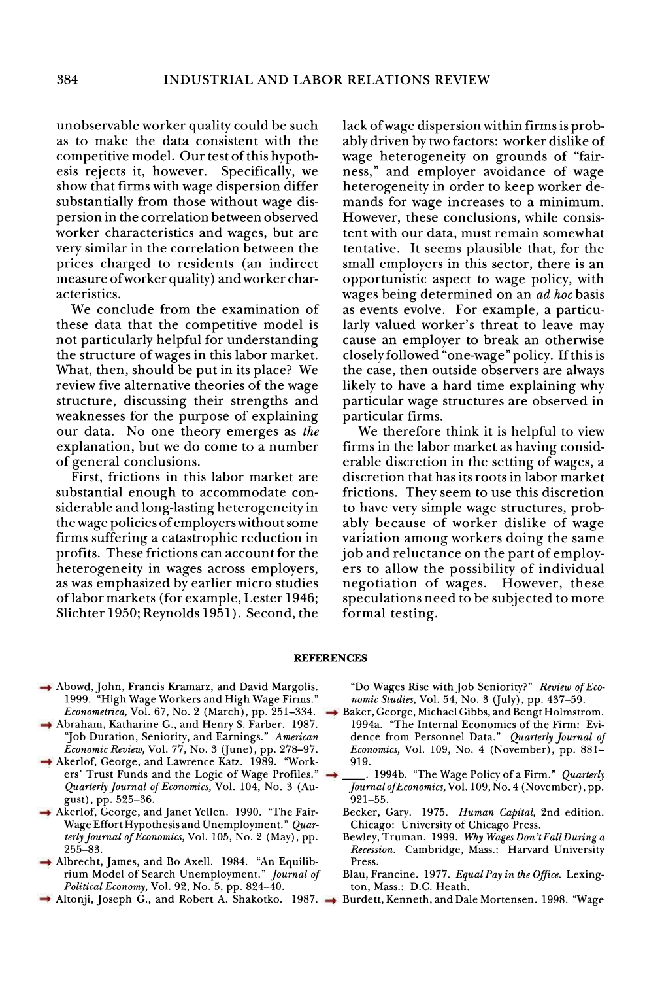**unobservable worker quality could be such as to make the data consistent with the competitive model. Our test of this hypothesis rejects it, however. Specifically, we show that firms with wage dispersion differ substantially from those without wage dispersion in the correlation between observed worker characteristics and wages, but are very similar in the correlation between the prices charged to residents (an indirect measure ofworker quality) and worker characteristics.** 

**We conclude from the examination of these data that the competitive model is not particularly helpful for understanding the structure of wages in this labor market. What, then, should be put in its place? We review five alternative theories of the wage structure, discussing their strengths and weaknesses for the purpose of explaining our data. No one theory emerges as the explanation, but we do come to a number of general conclusions.** 

**First, frictions in this labor market are substantial enough to accommodate considerable and long-lasting heterogeneity in the wage policies of employers without some firms suffering a catastrophic reduction in profits. These frictions can account for the heterogeneity in wages across employers, as was emphasized by earlier micro studies of labor markets (for example, Lester 1946; Slichter 1950; Reynolds 1951). Second, the**  **lack of wage dispersion within firms is probably driven by two factors: worker dislike of wage heterogeneity on grounds of "fairness," and employer avoidance of wage heterogeneity in order to keep worker demands for wage increases to a minimum. However, these conclusions, while consistent with our data, must remain somewhat tentative. It seems plausible that, for the small employers in this sector, there is an opportunistic aspect to wage policy, with wages being determined on an ad hoc basis as events evolve. For example, a particularly valued worker's threat to leave may cause an employer to break an otherwise closely followed "one-wage" policy. If this is the case, then outside observers are always likely to have a hard time explaining why particular wage structures are observed in particular firms.** 

**We therefore think it is helpful to view firms in the labor market as having considerable discretion in the setting of wages, a discretion that has its roots in labor market frictions. They seem to use this discretion to have very simple wage structures, probably because of worker dislike of wage variation among workers doing the same job and reluctance on the part of employers to allow the possibility of individual**  negotiation of wages. **speculations need to be subjected to more formal testing.** 

#### **REFERENCES**

- **Abowd, John, Francis Kramarz, and David Margolis. 1999. "High Wage Workers and High Wage Firms." Econometrica, Vol. 67, No. 2 (March), pp. 251-334.**
- **Abraham, Katharine G., and Henry S. Farber. 1987. '"Job Duration, Seniority, and Earnings." American Economic Review, Vol. 77, No. 3 (June), pp. 278-97.**
- **Akerlof, George, and Lawrence Katz. 1989. "Workers' Trust Funds and the Logic of Wage Profiles." Quarterly Journal of Economics, Vol. 104, No. 3 (August), pp. 525-36.**
- **Akerlof, George, and Janet Yellen. 1990. "The Fair-Wage Effort Hypothesis and Unemployment." Quarterly Journal of Economics, Vol. 105, No. 2 (May), pp. 255-83.**
- **Albrecht, James, and Bo Axell. 1984. "An Equilibrium Model of Search Unemployment." Journal of Political Economy, Vol. 92, No. 5, pp. 824-40.**
- 

**"Do Wages Rise with Job Seniority?" Review of Economic Studies, Vol. 54, No. 3 (July), pp. 437-59.** 

- $\rightarrow$  Baker, George, Michael Gibbs, and Bengt Holmstrom. **1994a. "The Internal Economics of the Firm: Evidence from Personnel Data." Quarterly Journal of Economics, Vol. 109, No. 4 (November), pp. 881- 919.** 
	- **\_ . 1994b. "The Wage Policy of a Firm." Quarterly Journal ofEconomics, Vol. 109, No. 4 (November), pp. 921-55.**
	- **Becker, Gary. 1975. Human Capital, 2nd edition. Chicago: University of Chicago Press.**
	- **Bewley, Truman. 1999. Why Wages Don'tFall During a Recession. Cambridge, Mass.: Harvard University Press.**
	- **Blau, Francine. 1977. Equal Pay in the Office. Lexington, Mass.: D.C. Heath.**
- **Altonji, Joseph G., and Robert A. Shakotko. 1987. Burdett, Kenneth, and Dale Mortensen. 1998. "Wage**